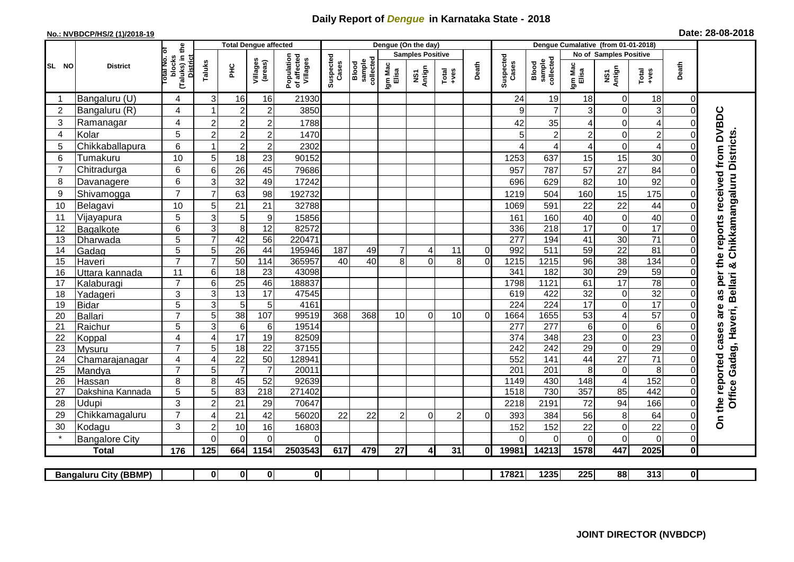## **Daily Report of** *Dengue* **in Karnataka State - 2018**

## **No.: NVBDCP/HS/2 (1)/2018-19 Date: 28-08-2018**

|                | <b>District</b>              |                                                       | <b>Total Dengue affected</b>     |                     |                                       |                             |                     |                  |                         | Dengue (On the day)     |                |                    |                              |                         |                        |                               |                                   |               |                                        |
|----------------|------------------------------|-------------------------------------------------------|----------------------------------|---------------------|---------------------------------------|-----------------------------|---------------------|------------------|-------------------------|-------------------------|----------------|--------------------|------------------------------|-------------------------|------------------------|-------------------------------|-----------------------------------|---------------|----------------------------------------|
| SL NO          |                              |                                                       |                                  |                     |                                       |                             |                     |                  | <b>Samples Positive</b> |                         |                |                    |                              |                         | No of Samples Positive |                               |                                   |               |                                        |
|                |                              | (Taluks) in the<br>District<br>lotal No. ol<br>blocks | Taluks<br>Ξ                      | Villages<br>(areas) | Population<br>of affected<br>Villages | Suspected<br>Cases<br>Blood | sample<br>collected | Igm Mac<br>Elisa | NS1<br>Antign           | $Totael$                | Death          | Suspected<br>Cases | collected<br>Blood<br>sample | Igm Mac<br>Elisa        | NS1<br>Antign          | Total<br>+ves                 | Death                             |               |                                        |
|                | Bangaluru (U)                | 4                                                     | 3                                | 16                  | 16                                    | 21930                       |                     |                  |                         |                         |                |                    | 24                           | 19                      | 18                     | $\mathbf 0$                   | 18                                | $\Omega$      |                                        |
| $\overline{2}$ | Bangaluru (R)                | 4                                                     |                                  | $\overline{2}$      | $\overline{c}$                        | 3850                        |                     |                  |                         |                         |                |                    | 9                            | $\overline{7}$          | 3                      | $\mathbf 0$                   | $\ensuremath{\mathsf{3}}$         | $\Omega$      |                                        |
| 3              | Ramanagar                    | 4                                                     | $\overline{2}$                   | $\overline{c}$      | $\overline{c}$                        | 1788                        |                     |                  |                         |                         |                |                    | 42                           | 35                      | 4                      | $\mathbf 0$                   | $\overline{\mathcal{A}}$          | $\Omega$      | per the reports received from DVBDC    |
| 4              | Kolar                        | 5                                                     | $\overline{c}$                   | $\overline{c}$      | $\boldsymbol{2}$                      | 1470                        |                     |                  |                         |                         |                |                    | 5                            | $\overline{c}$          | $\overline{c}$         | $\mathbf 0$                   | $\overline{c}$                    | $\Omega$      |                                        |
| 5              | Chikkaballapura              | 6                                                     |                                  | $\overline{c}$      | $\mathbf 2$                           | 2302                        |                     |                  |                         |                         |                |                    |                              | 4                       | 4                      | $\mathbf 0$                   | 4                                 | $\Omega$      | Chikkamangaluru Districts              |
| 6              | Tumakuru                     | 10                                                    | 5                                | 18                  | 23                                    | 90152                       |                     |                  |                         |                         |                |                    | 1253                         | 637                     | 15                     | 15                            | 30                                | $\Omega$      |                                        |
| $\overline{7}$ | Chitradurga                  | 6                                                     | 6                                | 26                  | 45                                    | 79686                       |                     |                  |                         |                         |                |                    | 957                          | 787                     | 57                     | 27                            | 84                                | $\Omega$      |                                        |
| 8              | Davanagere                   | 6                                                     | 3                                | 32                  | 49                                    | 17242                       |                     |                  |                         |                         |                |                    | 696                          | 629                     | 82                     | 10                            | 92                                | 0             |                                        |
| 9              | Shivamogga                   | $\overline{7}$                                        | $\overline{7}$                   | 63                  | 98                                    | 192732                      |                     |                  |                         |                         |                |                    | 1219                         | 504                     | 160                    | 15                            | 175                               | $\Omega$      |                                        |
| 10             | Belagavi                     | 10                                                    | 5                                | 21                  | 21                                    | 32788                       |                     |                  |                         |                         |                |                    | 1069                         | 591                     | 22                     | 22                            | 44                                | $\Omega$      |                                        |
| 11             | Vijayapura                   | 5                                                     | 3                                | 5                   | $\boldsymbol{9}$                      | 15856                       |                     |                  |                         |                         |                |                    | 161                          | 160                     | 40                     | $\mathbf 0$                   | 40                                | $\Omega$      |                                        |
| 12             | Bagalkote                    | 6                                                     | $\mathbf{3}$                     | 8                   | 12                                    | 82572                       |                     |                  |                         |                         |                |                    | 336                          | 218                     | 17                     | $\mathbf 0$                   | 17                                | $\Omega$      |                                        |
| 13             | Dharwada                     | 5                                                     | $\overline{7}$                   | 42                  | $\overline{56}$                       | 220471                      |                     |                  |                         |                         |                |                    | 277                          | 194                     | 41                     | 30                            | $\overline{71}$                   | $\Omega$      |                                        |
| 14             | Gadag                        | $\overline{5}$                                        | 5                                | 26                  | 44                                    | 195946                      | 187                 | 49               | $\overline{7}$          | 4                       | 11             | 0                  | 992                          | 511                     | 59                     | $\overline{22}$               | 81                                | $\Omega$      |                                        |
| 15             | Haveri                       | $\overline{7}$                                        | $\overline{7}$                   | 50                  | 114                                   | 365957                      | 40                  | 40               | $\overline{8}$          | $\overline{0}$          | 8              | $\mathbf 0$        | 1215                         | 1215                    | $\overline{96}$        | 38                            | 134                               | $\mathbf 0$   | ×්                                     |
| 16             | Uttara kannada               | 11                                                    | 6                                | 18                  | 23                                    | 43098                       |                     |                  |                         |                         |                |                    | 341                          | 182                     | $\overline{30}$        | 29                            | 59                                | $\Omega$      |                                        |
| 17             | Kalaburagi                   | $\overline{7}$                                        | 6                                | 25                  | 46                                    | 188837                      |                     |                  |                         |                         |                |                    | 1798                         | 1121                    | 61                     | $\overline{17}$               | $\overline{78}$                   | 0             | <b>Bellari</b>                         |
| 18             | Yadageri                     | 3                                                     | 3                                | 13                  | 17                                    | 47545                       |                     |                  |                         |                         |                |                    | 619                          | 422                     | $\overline{32}$        | $\mathbf 0$                   | 32                                |               | as                                     |
| 19             | Bidar                        | $\overline{5}$                                        | 3                                | 5                   | 5                                     | 4161                        |                     |                  |                         |                         |                |                    | $\overline{224}$             | $\overline{224}$        | $\overline{17}$        | $\overline{0}$                | $\overline{17}$                   | $\Omega$      | are                                    |
| 20             | Ballari                      | $\overline{7}$                                        | 5                                | 38                  | 107                                   | 99519                       | 368                 | 368              | 10                      | $\mathbf 0$             | 10             | $\Omega$           | 1664                         | 1655                    | 53                     | $\overline{\mathcal{A}}$      | 57                                | $\Omega$      |                                        |
| 21<br>22       | Raichur                      | $\overline{5}$<br>4                                   | $\overline{3}$<br>$\overline{4}$ | 6<br>17             | $\,6$<br>19                           | 19514<br>82509              |                     |                  |                         |                         |                |                    | 277<br>374                   | $\overline{277}$<br>348 | 6<br>$\overline{23}$   | $\overline{0}$                | $\overline{6}$<br>$\overline{23}$ | $\Omega$      |                                        |
| 23             | Koppal                       | $\overline{7}$                                        | 5                                | 18                  | $\overline{22}$                       | 37155                       |                     |                  |                         |                         |                |                    | 242                          | 242                     | $\overline{29}$        | $\mathbf 0$<br>$\overline{0}$ | 29                                | 0<br>$\Omega$ |                                        |
| 24             | Mysuru<br>Chamarajanagar     | $\overline{4}$                                        | $\overline{4}$                   | $\overline{22}$     | 50                                    | 128941                      |                     |                  |                         |                         |                |                    | 552                          | 141                     | 44                     | $\overline{27}$               | $\overline{71}$                   | $\Omega$      |                                        |
| 25             | Mandya                       | $\overline{7}$                                        | 5                                | $\overline{7}$      | $\overline{7}$                        | 20011                       |                     |                  |                         |                         |                |                    | $\overline{201}$             | $\overline{201}$        | 8                      | $\boldsymbol{0}$              | 8                                 | $\Omega$      | Gadag, Haveri,                         |
| 26             | Hassan                       | 8                                                     | 8                                | 45                  | 52                                    | 92639                       |                     |                  |                         |                         |                |                    | 1149                         | 430                     | 148                    | $\overline{4}$                | 152                               | $\Omega$      |                                        |
| 27             | Dakshina Kannada             | 5                                                     | 5                                | 83                  | 218                                   | 271402                      |                     |                  |                         |                         |                |                    | 1518                         | 730                     | 357                    | 85                            | 442                               | $\Omega$      |                                        |
| 28             | Udupi                        | 3                                                     | $\overline{2}$                   | 21                  | 29                                    | 70647                       |                     |                  |                         |                         |                |                    | 2218                         | 2191                    | 72                     | 94                            | 166                               | $\Omega$      | On the reported cases<br><b>Office</b> |
| 29             | Chikkamagaluru               | $\overline{7}$                                        | 4                                | 21                  | 42                                    | 56020                       | 22                  | 22               | $\overline{2}$          | $\Omega$                | $\overline{2}$ | $\Omega$           | 393                          | 384                     | 56                     | 8                             | 64                                | 0             |                                        |
| 30             | Kodagu                       | 3                                                     | $\overline{2}$                   | 10                  | 16                                    | 16803                       |                     |                  |                         |                         |                |                    | 152                          | 152                     | 22                     | $\mathbf 0$                   | 22                                | 0             |                                        |
|                | <b>Bangalore City</b>        |                                                       | $\Omega$                         | $\Omega$            | $\Omega$                              | 0                           |                     |                  |                         |                         |                |                    | $\Omega$                     | $\Omega$                | $\Omega$               | $\mathbf 0$                   | $\mathbf 0$                       | $\Omega$      |                                        |
|                | <b>Total</b>                 | 176                                                   | 125                              | 664                 | 1154                                  | 2503543                     | 617                 | 479              | 27                      | $\overline{\mathbf{A}}$ | 31             | 0I                 | 19981                        | 14213                   | 1578                   | 447                           | 2025                              | 0             |                                        |
|                |                              |                                                       |                                  |                     |                                       |                             |                     |                  |                         |                         |                |                    |                              |                         |                        |                               |                                   |               |                                        |
|                | <b>Bangaluru City (BBMP)</b> |                                                       | $\mathbf{0}$                     | 0                   | $\mathbf{0}$                          | $\overline{\mathbf{0}}$     |                     |                  |                         |                         |                |                    | 17821                        | 1235                    | 225                    | 88                            | 313                               | $\mathbf{0}$  |                                        |